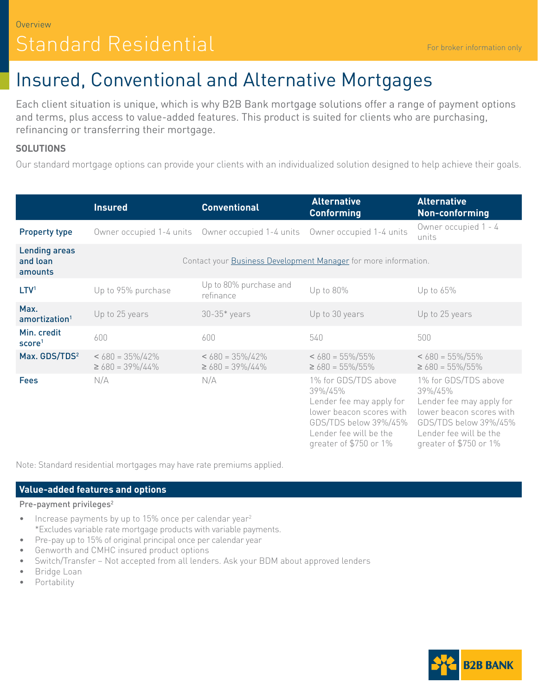# Standard Residential

## Insured, Conventional and Alternative Mortgages

Each client situation is unique, which is why B2B Bank mortgage solutions offer a range of payment options and terms, plus access to value-added features. This product is suited for clients who are purchasing, refinancing or transferring their mortgage.

### **SOLUTIONS**

Our standard mortgage options can provide your clients with an individualized solution designed to help achieve their goals.

|                                             | <b>Insured</b>                                                  | <b>Conventional</b>                                                          | <b>Alternative</b><br><b>Conforming</b>                                                                                                                              | <b>Alternative</b><br>Non-conforming                                                                                                                                 |
|---------------------------------------------|-----------------------------------------------------------------|------------------------------------------------------------------------------|----------------------------------------------------------------------------------------------------------------------------------------------------------------------|----------------------------------------------------------------------------------------------------------------------------------------------------------------------|
| <b>Property type</b>                        |                                                                 | Owner occupied 1-4 units  Owner occupied 1-4 units  Owner occupied 1-4 units |                                                                                                                                                                      | Owner occupied 1 - 4<br>units                                                                                                                                        |
| <b>Lending areas</b><br>and loan<br>amounts | Contact your Business Development Manager for more information. |                                                                              |                                                                                                                                                                      |                                                                                                                                                                      |
| LTV <sup>1</sup>                            | Up to 95% purchase                                              | Up to 80% purchase and<br>refinance                                          | Up to 80%                                                                                                                                                            | Up to 65%                                                                                                                                                            |
| Max.<br>amortization <sup>1</sup>           | Up to 25 years                                                  | $30-35*$ years                                                               | Up to 30 years                                                                                                                                                       | Up to 25 years                                                                                                                                                       |
| Min. credit<br>score <sup>1</sup>           | 600                                                             | 600                                                                          | 540                                                                                                                                                                  | 500                                                                                                                                                                  |
| Max. GDS/TDS <sup>2</sup>                   | $< 680 = 35\%/42\%$<br>$\geq 680 = 39\%/44\%$                   | $< 680 = 35\%/42\%$<br>$\geq 680 = 39\%/44\%$                                | $< 680 = 55\%/55\%$<br>$\geq 680 = 55\%/55\%$                                                                                                                        | $< 680 = 55\%/55\%$<br>$\geq$ 680 = 55%/55%                                                                                                                          |
| <b>Fees</b>                                 | N/A                                                             | N/A                                                                          | 1% for GDS/TDS above<br>39%/45%<br>Lender fee may apply for<br>lower beacon scores with<br>GDS/TDS below 39%/45%<br>Lender fee will be the<br>greater of \$750 or 1% | 1% for GDS/TDS above<br>39%/45%<br>Lender fee may apply for<br>lower beacon scores with<br>GDS/TDS below 39%/45%<br>Lender fee will be the<br>greater of \$750 or 1% |

Note: Standard residential mortgages may have rate premiums applied.

#### **Value-added features and options**

#### Pre-payment privileges<sup>2</sup>

- Increase payments by up to 15% once per calendar year<sup>2</sup> \*Excludes variable rate mortgage products with variable payments.
- Pre-pay up to 15% of original principal once per calendar year
- Genworth and CMHC insured product options
- Switch/Transfer Not accepted from all lenders. Ask your BDM about approved lenders
- Bridge Loan
- Portability